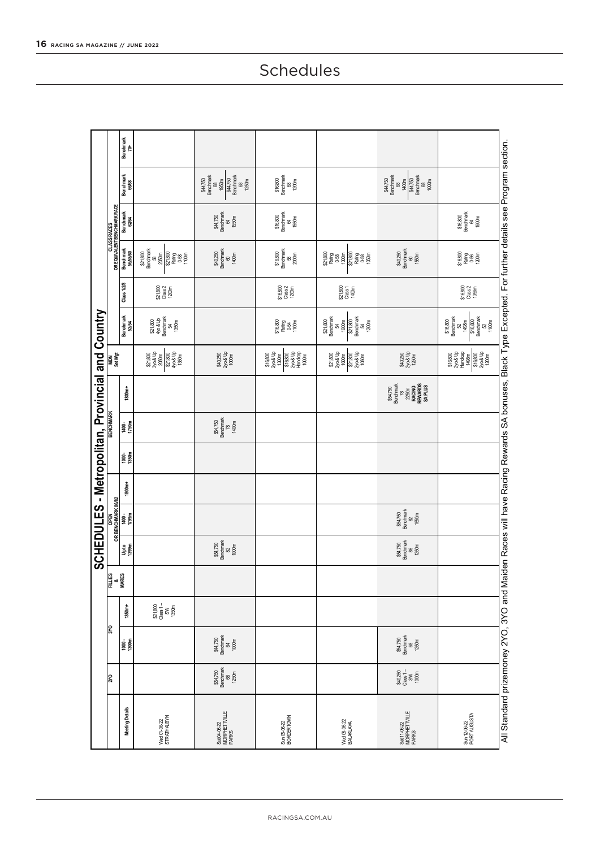| <b>SCHEDULES - Metropolitan, Provincial and Country</b> | OR EQUIVALENT BENCHMARK RACE<br>MDN<br>Set Wgt | Benchmark<br>70+<br>Benchmark<br>66/68<br>Benchmark<br>62/64<br>Benchmark<br>56/58/60<br>Class 1/2/3<br>Benchmark<br>52/54 | \$21,800<br>Bendmark<br>Bendmark<br>2055<br>2010<br>Pi Com<br>1100m<br>\$21,800<br>Class 2<br>1200m<br>\$21,800<br>4yo & Up<br>Benchmark<br>54<br>1350m | \$44,750<br>Benchmark<br>68<br>1950m<br>1950m<br>Benchmark<br>Benchmark<br>68<br>\$44,750<br>Benchmark<br>64<br>1550m<br>\$40,250<br>Benchmark<br>60<br>1400m<br>\$40,250<br>2yo & Up<br>1000m | \$16,800<br>Bendmark<br>68<br>1200m<br>\$16,800<br>Benchmark<br>64<br>1550m<br>\$16,800<br>Benchmark<br>58<br>2000m<br>\$16,800<br>Class 2<br>1200m<br>\$16,800<br>Rafig<br>1100m<br>\$16,800<br>2yo & Up<br>1300m<br>1300 & Up<br>14mdisap<br>Handisap<br>1000m | 2008<br>2008<br>2008 2008 2009<br>2009 2010 2010<br>2010 2010 2010 2010<br>\$21,800<br>Class 1<br>1400m<br>\$21,800<br>Benchmark<br>Benchmark<br>1600<br>Benchmark<br>Benchmark<br>Benchmark<br>1200m<br>821,800<br>2006<br>2006 000<br>2008 2006<br>2006 0000 | \$44,750<br>Benchmark<br>68<br>1400m<br>144,750<br>Benchmark<br>Benchmark<br>\$40,250<br>Benchmark<br>60<br>1550m<br>\$40,250<br>2yo & Up<br>1250m | \$16,800<br>Benchmark<br>1600m<br>1600m<br>\$16,800<br>Rafing<br>0-56<br>1200m<br>\$16,800<br>Class 2<br>1396m<br>$$16,800$<br>Benchmark<br>$\frac{52}{14960}$<br>$149600$<br>$$16,800$<br>Benchmark<br>Benchmark<br>$\frac{52}{1000}$<br>\$16,800<br>2yo & up<br>Handicap<br>149800<br>516,800<br>2yo & Up |
|---------------------------------------------------------|------------------------------------------------|----------------------------------------------------------------------------------------------------------------------------|---------------------------------------------------------------------------------------------------------------------------------------------------------|------------------------------------------------------------------------------------------------------------------------------------------------------------------------------------------------|------------------------------------------------------------------------------------------------------------------------------------------------------------------------------------------------------------------------------------------------------------------|----------------------------------------------------------------------------------------------------------------------------------------------------------------------------------------------------------------------------------------------------------------|----------------------------------------------------------------------------------------------------------------------------------------------------|-------------------------------------------------------------------------------------------------------------------------------------------------------------------------------------------------------------------------------------------------------------------------------------------------------------|
|                                                         |                                                |                                                                                                                            |                                                                                                                                                         |                                                                                                                                                                                                |                                                                                                                                                                                                                                                                  |                                                                                                                                                                                                                                                                |                                                                                                                                                    |                                                                                                                                                                                                                                                                                                             |
|                                                         |                                                | 1800m+                                                                                                                     |                                                                                                                                                         |                                                                                                                                                                                                |                                                                                                                                                                                                                                                                  |                                                                                                                                                                                                                                                                | \$54,750<br>Bendmmark<br>78<br><b>REWARDS</b><br><b>REWARDS</b><br><b>SA PLUS</b>                                                                  |                                                                                                                                                                                                                                                                                                             |
|                                                         | <b>BENCHMARK</b>                               | 1400-<br>1750m                                                                                                             |                                                                                                                                                         | \$54,750<br>Benchmark<br>78<br>1400m                                                                                                                                                           |                                                                                                                                                                                                                                                                  |                                                                                                                                                                                                                                                                |                                                                                                                                                    |                                                                                                                                                                                                                                                                                                             |
|                                                         |                                                | 1000 -<br>1350 m                                                                                                           |                                                                                                                                                         |                                                                                                                                                                                                |                                                                                                                                                                                                                                                                  |                                                                                                                                                                                                                                                                |                                                                                                                                                    |                                                                                                                                                                                                                                                                                                             |
|                                                         |                                                | 1800m+                                                                                                                     |                                                                                                                                                         |                                                                                                                                                                                                |                                                                                                                                                                                                                                                                  |                                                                                                                                                                                                                                                                |                                                                                                                                                    |                                                                                                                                                                                                                                                                                                             |
|                                                         | OPEN<br>OR BENCHMARK 86/82                     | 1400 -<br>1799m                                                                                                            |                                                                                                                                                         |                                                                                                                                                                                                |                                                                                                                                                                                                                                                                  |                                                                                                                                                                                                                                                                | \$54,750<br>Benchmark<br>82<br>1550m                                                                                                               |                                                                                                                                                                                                                                                                                                             |
|                                                         |                                                | Up to<br>1399m                                                                                                             |                                                                                                                                                         | \$54,750<br>Benchmark<br>82<br>1000m                                                                                                                                                           |                                                                                                                                                                                                                                                                  |                                                                                                                                                                                                                                                                | \$54,750<br>Benchmark<br>86<br>1250m                                                                                                               |                                                                                                                                                                                                                                                                                                             |
|                                                         | <b>FILLES</b>                                  | <b>MARES</b>                                                                                                               |                                                                                                                                                         |                                                                                                                                                                                                |                                                                                                                                                                                                                                                                  |                                                                                                                                                                                                                                                                |                                                                                                                                                    |                                                                                                                                                                                                                                                                                                             |
|                                                         | OAE                                            | 1350m+                                                                                                                     | \$21,800<br>Class 1 –<br>SW<br>1350m                                                                                                                    |                                                                                                                                                                                                |                                                                                                                                                                                                                                                                  |                                                                                                                                                                                                                                                                |                                                                                                                                                    |                                                                                                                                                                                                                                                                                                             |
|                                                         |                                                | 1000-<br>1300m                                                                                                             |                                                                                                                                                         | \$44,750<br>Benchmark<br>64<br>1000m                                                                                                                                                           |                                                                                                                                                                                                                                                                  |                                                                                                                                                                                                                                                                | \$54,750<br>Benchmark<br>68<br>1250m                                                                                                               |                                                                                                                                                                                                                                                                                                             |
|                                                         | <b>DAZ</b>                                     |                                                                                                                            |                                                                                                                                                         | \$54,750<br>Benchmark<br>68<br>1250m                                                                                                                                                           |                                                                                                                                                                                                                                                                  |                                                                                                                                                                                                                                                                | $$40,250$<br>Class 1 –<br>$$90$<br>1000m                                                                                                           |                                                                                                                                                                                                                                                                                                             |
|                                                         |                                                | <b>Meeting Details</b>                                                                                                     | Wed 01-06-22<br>STRATHALBYN                                                                                                                             | Sat04-06-22<br>MORPHETTVILLE<br>PARKS                                                                                                                                                          | Sun 05-06-22<br>BORDERTOWN                                                                                                                                                                                                                                       | Wed 08-06-22<br>BALAKLAVA                                                                                                                                                                                                                                      | Sat11-06-22<br>MORPHETTVILLE<br>PARKS                                                                                                              | Sun 12-06-22<br>PORT AUGUSTA                                                                                                                                                                                                                                                                                |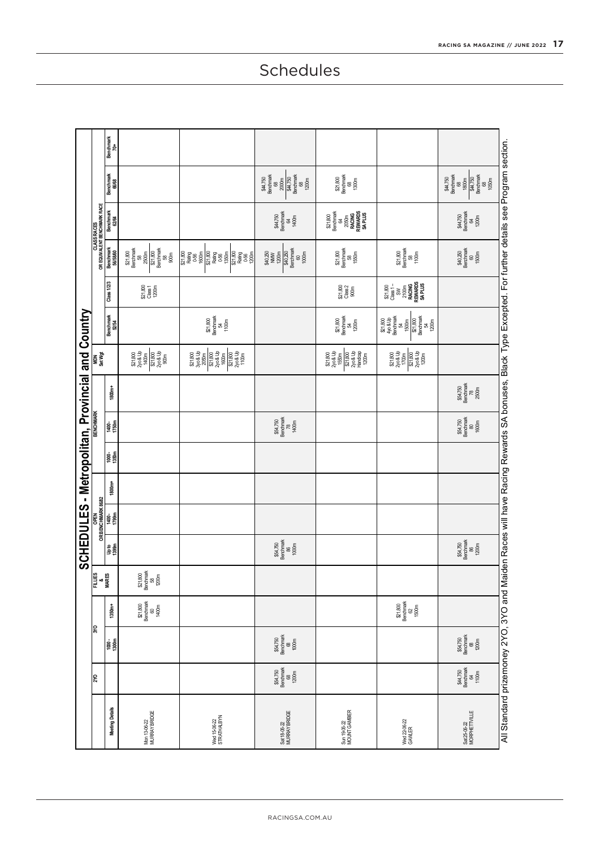|                                                  |                                             | Benchmark<br>70+      |                                                                                               |                                                                                              |                                                                               |                                                                    |                                                                                          |                                                                           |                                                                                                                |
|--------------------------------------------------|---------------------------------------------|-----------------------|-----------------------------------------------------------------------------------------------|----------------------------------------------------------------------------------------------|-------------------------------------------------------------------------------|--------------------------------------------------------------------|------------------------------------------------------------------------------------------|---------------------------------------------------------------------------|----------------------------------------------------------------------------------------------------------------|
|                                                  |                                             | Benchmark<br>66/68    |                                                                                               |                                                                                              | \$44,750<br>Benchmark<br>2000m<br>2000m<br>\$44,750<br>Benchmark<br>Benchmark | \$21,800<br>Benchmark<br>68<br>1300m                               |                                                                                          | \$44,750<br>Benchmark<br>68<br>1800m<br>184,750<br>Benchmark<br>Benchmark | aiden Races will have Racing Rewards SA bonuses, Black Type Excepted. For further details see Program section. |
|                                                  | CLASS RACES<br>OR EQUIVALENT BENCHMARK RACE | Benchmark<br>62/64    |                                                                                               |                                                                                              | \$44,750<br>Bendmark<br>64<br>1400m                                           | \$21,800<br>Benchmark<br>GA 2050m<br>REWARDS<br>REWARDS<br>SA PLUS |                                                                                          | \$4,750<br>Bendmark<br>64<br>1200m                                        |                                                                                                                |
|                                                  |                                             | Benchmark<br>56/58/60 | $$21800$<br>Benchmark<br>Benchmark<br>2500m<br>281,800<br>Benchmark<br>Benchmark<br>Benchmark | 00<br>Raing 960<br>Saing 960<br>Saing 960<br>California 2006<br>Raing 960<br>California 2006 | \$40,250<br>NMW<br>1200m<br>540,250<br>Benchmark<br>Benchmark<br>1000m        | \$21,800<br>Benchmark<br>58<br>1550m                               | \$21,800<br>Benchmark<br>58<br>1100m                                                     | \$40,250<br>Bendmark<br>60<br>1500m                                       |                                                                                                                |
|                                                  |                                             | Class 1/2/3           | \$21,800<br>Class 1<br>1200m                                                                  |                                                                                              |                                                                               | \$21,800<br>Class 2<br>900m                                        | \$21,800<br>Class 1<br>Class 1<br>2100m<br>REMARDS<br>REMARDS<br>SA PLUS                 |                                                                           |                                                                                                                |
|                                                  |                                             | Benchmark<br>52/54    |                                                                                               | \$21,800<br>Benchmark<br>54<br>1100m                                                         |                                                                               | \$21,800<br>Benchmark<br>54<br>1200m                               | $$21,800$<br>$$49$ & Up<br>Benchmark<br>Benchmark<br>$$21,800$<br>$$21,800$<br>Benchmark |                                                                           |                                                                                                                |
|                                                  | MDN<br>Set Wgt                              |                       | 821,800<br>324,800<br>324,800<br>32,800m<br>900m                                              | ಜಾತಿಯ<br>ಹಿತ್ಯ ಹಿತ್ಯ ಹಿತ್ಯ<br>ಹಿತ್ಯ ಹಿತ್ಯ ಹಿತ್ಯ<br>ಹಿತ್ಯ ಹಿತ್ಯ ಹಿತ್ಯ<br>ಕಾರ್ಯ ಹಿತ್ಯ          |                                                                               | \$21,800<br>2yo & Up<br>1550m<br>1500m<br>2xo & Up<br>1200m        |                                                                                          |                                                                           |                                                                                                                |
| SCHEDULES - Metropolitan, Provincial and Country |                                             | $1800m+$              |                                                                                               |                                                                                              |                                                                               |                                                                    |                                                                                          | \$54,750<br>Benchmark<br>7800m<br>2500m                                   |                                                                                                                |
|                                                  | <b>BENCHIMARK</b>                           | 1400 -<br>1750m       |                                                                                               |                                                                                              | \$54,750<br>Benchmark<br>78<br>1400m                                          |                                                                    |                                                                                          | \$54,750<br>Bendmark<br>80<br>1600m                                       |                                                                                                                |
|                                                  |                                             | 1000-<br>1350m        |                                                                                               |                                                                                              |                                                                               |                                                                    |                                                                                          |                                                                           |                                                                                                                |
|                                                  |                                             | 1800m+                |                                                                                               |                                                                                              |                                                                               |                                                                    |                                                                                          |                                                                           |                                                                                                                |
|                                                  | OPEN<br>OR BENCHMARK 86/82                  | 1400 -<br>1799m       |                                                                                               |                                                                                              |                                                                               |                                                                    |                                                                                          |                                                                           |                                                                                                                |
|                                                  |                                             | Up to<br>1399m        |                                                                                               |                                                                                              | \$54,750<br>Benchmark<br>86<br>1000m                                          |                                                                    |                                                                                          | \$54,750<br>Benchmark<br>86<br>1200m                                      |                                                                                                                |
|                                                  | <b>FILLES</b>                               | <b>MARES</b>          | \$21,800<br>Benchmark<br>58<br>1200m                                                          |                                                                                              |                                                                               |                                                                    |                                                                                          |                                                                           |                                                                                                                |
|                                                  |                                             | $1350m +$             | \$21,800<br>Benchmark<br>60<br>1400m                                                          |                                                                                              |                                                                               |                                                                    | \$21,800<br>Benchmark<br>62<br>1500m                                                     |                                                                           |                                                                                                                |
|                                                  | OAS                                         | 1000-<br>1300m        |                                                                                               |                                                                                              | \$54,750<br>Bendmark<br>68<br>1000m                                           |                                                                    |                                                                                          | \$54,750<br>Benchmark<br>68<br>1200m                                      |                                                                                                                |
|                                                  | <b>DAZ</b>                                  |                       |                                                                                               |                                                                                              | \$54,750<br>Benchmark<br>68<br>1200m                                          |                                                                    |                                                                                          | \$4,750<br>Benchmark<br>64<br>1100m                                       |                                                                                                                |
|                                                  |                                             | Meeting Details       | Mon 13-06-22<br>MURRAY BRIDGE                                                                 | Wed 15-06-22<br>STRATHALBYN                                                                  | Sat 18-06-22<br>MURRAY BRIDGE                                                 | Sun 19-06-22<br>MOUNT GAMBIER                                      | Wed 22-06-22<br>GAWLER                                                                   | Sat 25-06-22<br>MORPHETTVILLE                                             | All Standard prizemoney 2YO, 3YO and M                                                                         |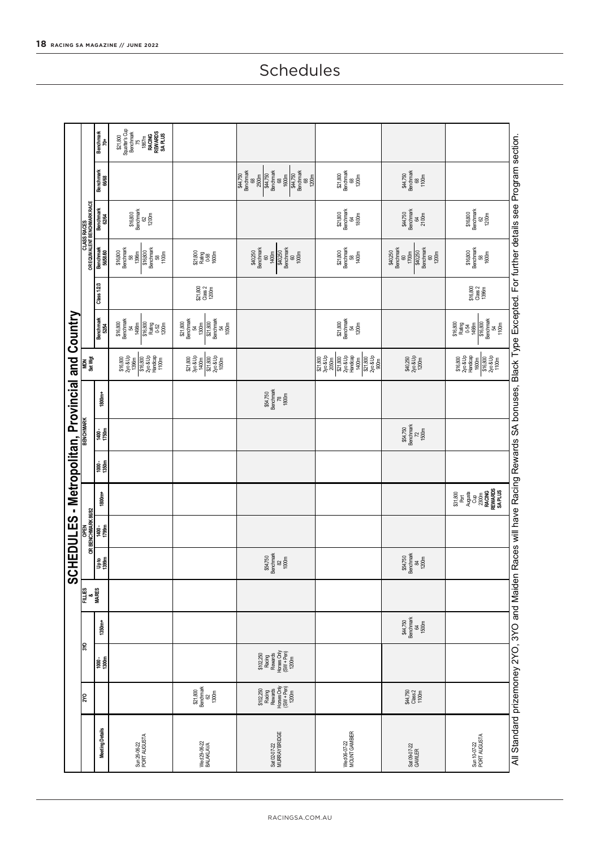|                                                         |                                             | Benchmark<br>ġ               | $\begin{array}{r}\n$21,800\\ \nSquatters CO\\ \nBenchmark\\ \nBenormal\\ \nT5\\ \n1867m\\ \nRACING\\ \nREWMROS\\ \nREUMERS\\ \nSAP LUS\\ \n$ |                                                                                                           |                                                                                             |                                                                                    |                                                                                 |                                                                                                                                                                                      |
|---------------------------------------------------------|---------------------------------------------|------------------------------|----------------------------------------------------------------------------------------------------------------------------------------------|-----------------------------------------------------------------------------------------------------------|---------------------------------------------------------------------------------------------|------------------------------------------------------------------------------------|---------------------------------------------------------------------------------|--------------------------------------------------------------------------------------------------------------------------------------------------------------------------------------|
|                                                         |                                             | Benchmark<br>6668            |                                                                                                                                              |                                                                                                           | \$44,750<br>Bendmark<br>68<br>68 (34,750<br>Bendmark<br>Bend,750<br>68 (300m<br>68 (200m    | \$21,800<br>Bendmark<br>68<br>1200m                                                | \$44,750<br>Benchmark<br>68<br>1100m                                            |                                                                                                                                                                                      |
|                                                         | CLASS RACES<br>OR EQUIVALENT BENCHMARK RACE | Benchmark<br>62/64           | \$16,800<br>Bendmark<br>62<br>1200m                                                                                                          |                                                                                                           |                                                                                             | \$21,800<br>Bendmark<br>64<br>1800m                                                | \$44,750<br>Bendmark<br>64<br>2100m                                             | \$16,800<br>Bendmark<br>62<br>1200m                                                                                                                                                  |
|                                                         |                                             | <b>Benchmark</b><br>56/58/60 | \$16,800<br>Benchmark<br>1396m<br>1396,800<br>\$6,800<br>Benchmark<br>Benchmark                                                              | \$21,800<br>Rafing<br>0-58<br>1600m                                                                       | $$40250$<br>Benchmark<br>$$60$<br>$$400m$<br>$$40250$<br>$$40250$<br>Benchmark<br>Benchmark | \$21,800<br>Bendmark<br>58<br>1400m                                                | \$40250<br>Bendmark<br>60<br>1700m<br>180250<br>\$40250<br>Bendmark<br>Bendmark | \$16,800<br>Bendmark<br>58<br>1600m                                                                                                                                                  |
|                                                         |                                             | Class 1/2/3                  |                                                                                                                                              | \$21,800<br>Class 2<br>1200m                                                                              |                                                                                             |                                                                                    |                                                                                 | \$16,800<br>Class 2<br>1396m                                                                                                                                                         |
|                                                         |                                             | Benchmark<br>52/54           | \$16,800<br>Benchmark<br>Benchmark<br>1498m<br>146,800<br>Rating<br>0-52<br>0200m                                                            | $$21,800$<br>Benchmark<br>$$34$<br>$$1300m$<br>$$21,800$<br>$$321,800$<br>Benchmark<br>Benchmark<br>$$54$ |                                                                                             | \$21,800<br>Benchmark<br>54<br>1200m                                               |                                                                                 | \$16,800<br>Rating<br>C 54,800<br>1498m<br>Benchmark<br>Benchmark<br>1100m                                                                                                           |
|                                                         | MDN<br>Set Wgt                              |                              | \$16,800<br>296 Up<br>3966<br>516,800<br>500 Amdicap<br>1100m                                                                                | 821,800<br>398 400m<br>398 400<br>308 4050m<br>3050m                                                      |                                                                                             | \$21,800<br>3% & Up<br>3% & Up<br>2000<br>400m<br>400m<br>400m<br>\$21,800<br>300m | \$40,250<br>2ys & Up<br>1200m                                                   | \$16,800<br>29 & Up<br>29 & Up<br>1600m<br>16,800<br>50 & AP<br>300m<br>1100m                                                                                                        |
| <b>SCHEDULES - Metropolitan, Provincial and Country</b> |                                             | 1800m+                       |                                                                                                                                              |                                                                                                           | \$54,750<br>Benchmark<br>78<br>1800m                                                        |                                                                                    |                                                                                 |                                                                                                                                                                                      |
|                                                         | <b>BENCHMARK</b>                            | 1400-<br>1750m               |                                                                                                                                              |                                                                                                           |                                                                                             |                                                                                    | \$54,750<br>Benchmark<br>72<br>1500m                                            |                                                                                                                                                                                      |
|                                                         |                                             | 1000-<br>1350m               |                                                                                                                                              |                                                                                                           |                                                                                             |                                                                                    |                                                                                 |                                                                                                                                                                                      |
|                                                         |                                             | 1800m+                       |                                                                                                                                              |                                                                                                           |                                                                                             |                                                                                    |                                                                                 | $$31,800$<br>Port<br>$$4$ ugusta<br>$$4$ ugusta<br>$$2300m$<br><b>RACING</b><br><b>REWARDS</b><br><b>SAPLUS</b>                                                                      |
|                                                         | OPEN<br>OR BENCHMARK 86/82                  | 1400 -<br>1799m              |                                                                                                                                              |                                                                                                           |                                                                                             |                                                                                    |                                                                                 |                                                                                                                                                                                      |
|                                                         |                                             | <b>Up to</b><br>1399m        |                                                                                                                                              |                                                                                                           | \$54,750<br>Benchmark<br>82<br>1000m                                                        |                                                                                    | \$54,750<br>Benchmark<br>84<br>1200m                                            |                                                                                                                                                                                      |
|                                                         | FILLIES<br>&<br>MARES                       |                              |                                                                                                                                              |                                                                                                           |                                                                                             |                                                                                    |                                                                                 |                                                                                                                                                                                      |
|                                                         |                                             | 1350m+                       |                                                                                                                                              |                                                                                                           |                                                                                             |                                                                                    | \$44,750<br>Bendmark<br>64<br>1500m                                             |                                                                                                                                                                                      |
|                                                         | <b>OAS</b>                                  | 1000-<br>1300m               |                                                                                                                                              |                                                                                                           | \$102,250<br>Racing<br>Rewards<br>Horse Only<br>(SW + Pen)<br>1200m                         |                                                                                    |                                                                                 |                                                                                                                                                                                      |
|                                                         | <b>DAZ</b>                                  |                              |                                                                                                                                              | \$21,800<br>Benchmark<br>62<br>1300m                                                                      | $$102,250$<br>Rading<br>Rewards<br>Horses Only<br>Horse Only<br>$$1200m$<br>$$200m$         |                                                                                    | \$44,750<br>Class 2<br>1100m                                                    |                                                                                                                                                                                      |
|                                                         |                                             | Meeting Details              | Sun 26-06-22<br>PORT AUGUSTA                                                                                                                 | Wed 29-06-22<br>BALAKLAVA                                                                                 | Sat 02-07-22<br>MURRAY BRIDGE                                                               | Wed06-07-22<br>MOUNT GAMBER                                                        | Sat 09-07-22<br>GAWLER                                                          | All Standard prizemoney 2YO, 3YO and Maiden Races will have Racing Rewards SA bonuses, Black Type Excepted. For further details see Program section.<br>Sun 10-07-22<br>PORT AUGUSTA |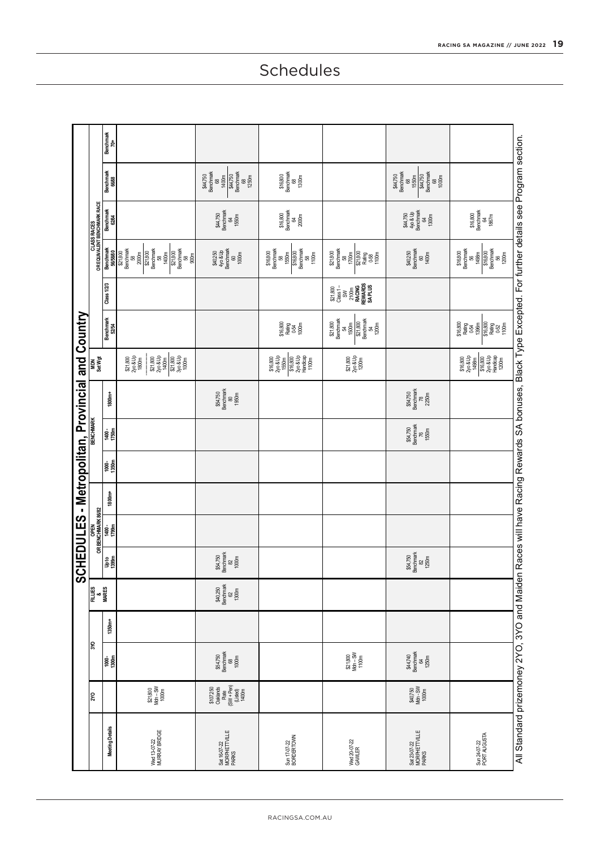|                                                         |                                             | Benchmark<br>70+                                                                                                                                                                                                                 |                                                                                                                            |                                                                                 |                                                                                         |                                                                                      |                                                                               |                                                                                                      |                                                                                                          |
|---------------------------------------------------------|---------------------------------------------|----------------------------------------------------------------------------------------------------------------------------------------------------------------------------------------------------------------------------------|----------------------------------------------------------------------------------------------------------------------------|---------------------------------------------------------------------------------|-----------------------------------------------------------------------------------------|--------------------------------------------------------------------------------------|-------------------------------------------------------------------------------|------------------------------------------------------------------------------------------------------|----------------------------------------------------------------------------------------------------------|
|                                                         |                                             | Benchmark<br>6668                                                                                                                                                                                                                |                                                                                                                            | \$44,750<br>Benchmark<br>1400m<br>144,750<br>\$44,750<br>Benchmark<br>Benchmark | \$16,800<br>Bendmark<br>68<br>1300m                                                     |                                                                                      | \$44,750<br>Benchmark<br>1550m<br>1550m<br>\$44,750<br>Benchmark<br>Benchmark |                                                                                                      | Races will have Racing Rewards SA bonuses, Black Type Excepted. For further details see Program section. |
|                                                         | CLASS RACES<br>OR EQUIVALENT BENCHMARK RACE | Benchmark<br>62/64                                                                                                                                                                                                               |                                                                                                                            | \$44,750<br>Bendmark<br>64<br>1550m                                             | \$16,800<br>Bendmark<br>64<br>2000m                                                     |                                                                                      | \$44,750<br>4yo & Up<br>Bendmrark<br>64<br>1300m                              | \$16,800<br>Bendmark<br>64<br>1867m                                                                  |                                                                                                          |
|                                                         |                                             | Benchmark<br>5658/60                                                                                                                                                                                                             | \$21,800<br>Benchmark<br>58<br>5000m<br>\$21,800<br>Benchmark<br>Benchmark<br>1400m<br>\$21,800<br>Benchmark<br>58<br>900m | \$40,250<br>4 yo & Up<br>Benchmark<br>60<br>1000m                               | $$16,800$<br>Benchmark<br>Benchmark<br>1550m<br>\$6,800<br>Benchmark<br>Benchmark<br>58 | \$21,800<br>Benchmark<br>Benchmark<br>1700m<br>1700m<br>0-88<br>1100m                | \$40,250<br>Benchmark<br>60<br>1400m                                          | $$16,800$<br>Benchmark<br>$$56$<br>$$1498m$<br>$$1498m$<br>$$16,800$<br>Benchmark<br>Benchmark<br>56 |                                                                                                          |
|                                                         |                                             | Class 1/2/3                                                                                                                                                                                                                      |                                                                                                                            |                                                                                 |                                                                                         | \$21,800<br>Class 1 -<br>Class 1 -<br>2100m<br><b>REMARDS</b><br><b>REMARDS</b>      |                                                                               |                                                                                                      |                                                                                                          |
| <b>SCHEDULES - Metropolitan, Provincial and Country</b> |                                             | Benchmark<br>52/54                                                                                                                                                                                                               |                                                                                                                            |                                                                                 | \$16,800<br>Rafing<br>0.54<br>1000m                                                     | $$21,800$<br>Benchmak<br>Benchmak<br>1500m<br>1200m<br>Benchmak<br>Benchmak<br>1200m |                                                                               | \$16,800<br>Rating<br>C 0-50,800<br>S 16,800<br>Rating 0-50<br>T 100m                                |                                                                                                          |
|                                                         | MDN<br>Set Wgt                              |                                                                                                                                                                                                                                  | \$21,800<br>2908 Up<br>2008 Up<br>3908 Up<br>3908 Up<br>39000<br>\$21,800<br>2yo & Up<br>1800m                             |                                                                                 | \$16,800<br>2yo & Up<br>1550m<br>15600<br>3yo & Up<br>1100m                             | \$21,800<br>2yo & Up<br>1200m                                                        |                                                                               | \$16,800<br>2yo & Up<br>1498m<br>149800<br>5000m<br>1200m                                            |                                                                                                          |
|                                                         |                                             | 1800m+                                                                                                                                                                                                                           |                                                                                                                            | \$54,750<br>Bendmark<br>80<br>1950m                                             |                                                                                         |                                                                                      | \$54,750<br>Bendmrark<br>78<br>2250m                                          |                                                                                                      |                                                                                                          |
|                                                         | <b>BENCHMARK</b>                            | 1400 -<br>1750m                                                                                                                                                                                                                  |                                                                                                                            |                                                                                 |                                                                                         |                                                                                      | \$54,750<br>Bendmark<br>76<br>1550m                                           |                                                                                                      |                                                                                                          |
|                                                         |                                             | 1000-<br>1350m                                                                                                                                                                                                                   |                                                                                                                            |                                                                                 |                                                                                         |                                                                                      |                                                                               |                                                                                                      |                                                                                                          |
|                                                         |                                             | 1800m+                                                                                                                                                                                                                           |                                                                                                                            |                                                                                 |                                                                                         |                                                                                      |                                                                               |                                                                                                      |                                                                                                          |
|                                                         |                                             | OR BENCHMARK 86/82<br>1400 - 1400 - 1400 - 1400 - 1400 - 1410 - 1410 - 1410 - 1410 - 1410 - 1410 - 1410 - 1410 - 1410 - 1410 - 1410 - 1410 - 1410 - 1410 - 1410 - 1410 - 1410 - 1410 - 1410 - 1410 - 1410 - 1410 - 1410 - 1410 - |                                                                                                                            |                                                                                 |                                                                                         |                                                                                      |                                                                               |                                                                                                      |                                                                                                          |
|                                                         |                                             | 139m<br>139m                                                                                                                                                                                                                     |                                                                                                                            | \$54,750<br>Benchmark<br>82<br>1000m                                            |                                                                                         |                                                                                      | \$54,750<br>Benchmark<br>82<br>1250m                                          |                                                                                                      |                                                                                                          |
|                                                         | <b>FILLIES</b>                              | &<br>MARES                                                                                                                                                                                                                       |                                                                                                                            | \$40,250<br>Benchmark<br>62<br>1300m                                            |                                                                                         |                                                                                      |                                                                               |                                                                                                      |                                                                                                          |
|                                                         |                                             | 1350m+                                                                                                                                                                                                                           |                                                                                                                            |                                                                                 |                                                                                         |                                                                                      |                                                                               |                                                                                                      |                                                                                                          |
|                                                         | OAE                                         | 1000-<br>1300m                                                                                                                                                                                                                   |                                                                                                                            | \$54,750<br>Bendmark<br>68<br>1000m                                             |                                                                                         | \$21,800<br>Mdn-SW<br>1100m                                                          | \$44,740<br>Bendmark<br>64<br>1250m                                           |                                                                                                      |                                                                                                          |
|                                                         | <b>DAZ</b>                                  |                                                                                                                                                                                                                                  | \$21,800<br>Mdn - SW<br>1000m                                                                                              | \$107,250<br>Oaklands<br>Plate<br>(SW + Pen)<br>(Listed)<br>1400m               |                                                                                         |                                                                                      | \$40,750<br>Mdn - SW<br>1000m                                                 |                                                                                                      |                                                                                                          |
|                                                         |                                             | Meeting Details                                                                                                                                                                                                                  | Wed 13-07-22<br>MURRAY BRIDGE                                                                                              | Sat 16-07-22<br>MORPHETTVILLE<br>PARKS                                          | Sun 17-07-22<br>BORDER TOWN                                                             | Wed 20-07-22<br>GAWLER                                                               | Sat23-07-22<br>MORPHETTVILLE<br>PARKS                                         | Sun 24-07-22<br>PORT AUGUSTA                                                                         | All Standard prizemoney 2YO, 3YO and Maiden                                                              |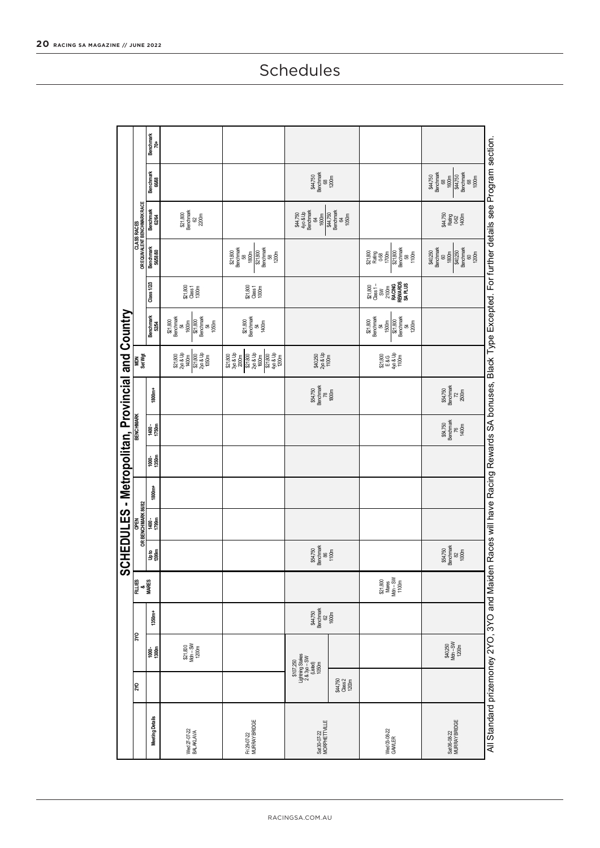|                                                                                                                                                      |                              |                                                                    |                                     |                                        |                                     |                            |        |                 |                                      | <b>SCHEDULES - Metropolitan, Provincial and Country</b> |                                                                                                                                                                                                                                                       |                                                                                 |                                                                                                     |                                                                                          |                                                                                 |                                                                         |                  |
|------------------------------------------------------------------------------------------------------------------------------------------------------|------------------------------|--------------------------------------------------------------------|-------------------------------------|----------------------------------------|-------------------------------------|----------------------------|--------|-----------------|--------------------------------------|---------------------------------------------------------|-------------------------------------------------------------------------------------------------------------------------------------------------------------------------------------------------------------------------------------------------------|---------------------------------------------------------------------------------|-----------------------------------------------------------------------------------------------------|------------------------------------------------------------------------------------------|---------------------------------------------------------------------------------|-------------------------------------------------------------------------|------------------|
|                                                                                                                                                      | <b>OAZ</b>                   | 3YO                                                                |                                     | <b>FILLIES</b><br>&<br>MARES           |                                     | OPEN<br>OR BENCHMARK 86/82 |        |                 | <b>BENCHMARK</b>                     |                                                         | MDN<br>Set Wgt                                                                                                                                                                                                                                        |                                                                                 |                                                                                                     |                                                                                          | CLASS RACES<br>OR EQUIVALENT BENCHIMARK RACE                                    |                                                                         |                  |
| Meeting Details                                                                                                                                      |                              | 1000-<br>1300m                                                     | 1350m+                              |                                        | <b>Up to</b><br>1399m               | 1400-<br>1799m             | 1800m+ | 1000 -<br>1350m | 1400 -<br>1750m                      | 1800m+                                                  |                                                                                                                                                                                                                                                       | Benchmark<br>52/54                                                              | <b>Class 1/2/3</b>                                                                                  | Benchmark<br>5658/60                                                                     | Benchmark<br>62/64                                                              | Benchmark<br>66/68                                                      | Benchmark<br>70+ |
| Wed 27-07-22<br>BALAKLAVA                                                                                                                            |                              | \$21,800<br>Mdn – SW<br>1200m                                      |                                     |                                        |                                     |                            |        |                 |                                      |                                                         |                                                                                                                                                                                                                                                       | \$21,800<br>Benchmark<br>54,600<br>1600m<br>821,800<br>Benchmark<br>Benchmark   | \$21,800<br>Class 1<br>1300m                                                                        |                                                                                          | \$21,800<br>Bendmark<br>62<br>2200m                                             |                                                                         |                  |
|                                                                                                                                                      |                              |                                                                    |                                     |                                        |                                     |                            |        |                 |                                      |                                                         |                                                                                                                                                                                                                                                       |                                                                                 |                                                                                                     |                                                                                          |                                                                                 |                                                                         |                  |
| Fri29-07-22<br>MURRAY BRIDGE                                                                                                                         |                              |                                                                    |                                     |                                        |                                     |                            |        |                 |                                      |                                                         | $\begin{array}{l} \$21,800 \\ 3908 \text{ lb} \\ 2000 \text{ lb} \\ 21,800 \text{ lb} \\ 23,908 \text{ lb} \\ 24,908 \text{ lb} \\ 25,800 \text{ lb} \\ 25,800 \text{ lb} \\ 25,800 \text{ lb} \\ 27,800 \text{ lb} \\ 28,800 \text{ lb} \end{array}$ | \$21,800<br>Benchmark<br>54<br>1400m                                            | \$21,800<br>Class 1<br>1000m                                                                        | $$21800$<br>Bendmark<br>$$30$<br>$1800m$<br>$$21800$<br>$$21800$<br>Bendmark<br>Bendmark |                                                                                 |                                                                         |                  |
| Sat 30-07-22<br>MORPHETTVILLE                                                                                                                        |                              | \$107,250<br>Lightning Stakes<br>2 & 3yo – SW<br>(Listed)<br>1050m | \$44,750<br>Bendmark<br>62<br>1600m |                                        | \$54,750<br>Bendmark<br>86<br>1100m |                            |        |                 |                                      | \$54,750<br>Bendmark<br>78<br>1800m                     | \$40,250<br>2yo & Up<br>1100m                                                                                                                                                                                                                         |                                                                                 |                                                                                                     |                                                                                          | \$44,750<br>4yo & Up<br>Bendmark<br>Bendmark<br>544,750<br>Bendmark<br>Bendmark | \$44,750<br>Benchmark<br>68<br>1200m                                    |                  |
|                                                                                                                                                      | \$44,750<br>Class 2<br>1200m |                                                                    |                                     |                                        |                                     |                            |        |                 |                                      |                                                         |                                                                                                                                                                                                                                                       |                                                                                 |                                                                                                     |                                                                                          |                                                                                 |                                                                         |                  |
| Wed 03-08-22<br>GAWLER                                                                                                                               |                              |                                                                    |                                     | \$21,800<br>Mares<br>Mdn - SW<br>1100m |                                     |                            |        |                 |                                      |                                                         | \$21,800<br>E&G<br>4yo&Up<br>1100m                                                                                                                                                                                                                    | \$21,800<br>Benchmark<br>1500m<br>1500m<br>\$21,800<br>Benchmark<br>54<br>1200m | \$21,800<br>CBSS <sup>1</sup> -<br>CBSS <sup>1</sup> -<br>2100m<br><b>REWARDS</b><br><b>SA PLUS</b> | \$21,800<br>Rating<br>0-58<br>0-500<br>1100m<br>Bendmratk<br>Bendmratk                   |                                                                                 |                                                                         |                  |
| Sat 06-08-22<br>MURRAY BRIDGE                                                                                                                        |                              | \$40,250<br>Mdn – SW<br>1200m                                      |                                     |                                        | \$54,750<br>Bendmark<br>82<br>1000m |                            |        |                 | \$54,750<br>Benchmark<br>76<br>1400m | \$54,750<br>Bendmark<br>72<br>2500m                     |                                                                                                                                                                                                                                                       |                                                                                 |                                                                                                     | $$40,250$<br>Benchmark<br>60<br>1800m<br>1800m<br>Benchmark<br>Benchmark<br>60<br>1200m  | \$44,750<br>Rating<br>0-62<br>1400m                                             | \$44,750<br>Berchmark<br>68<br>1600m<br>1600m<br>Berchmark<br>Berchmark |                  |
| All Standard prizemoney 2YO, 3YO and Maiden Races will have Racing Rewards SA bonuses, Black Type Excepted. For further details see Program section. |                              |                                                                    |                                     |                                        |                                     |                            |        |                 |                                      |                                                         |                                                                                                                                                                                                                                                       |                                                                                 |                                                                                                     |                                                                                          |                                                                                 |                                                                         |                  |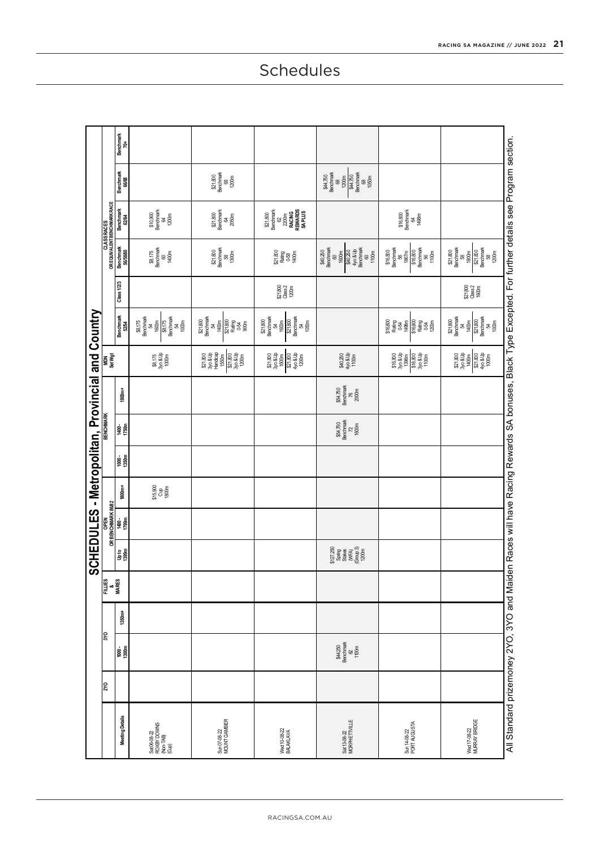|                                                  | MDN<br>Set Wgt        | Benchmark<br>70+<br>Benchmark<br>66/68<br>OLASSRACES<br>Denotmark Benchimark Race<br>Benchmark Bench <sup>imary</sup><br>Class 12/3<br>Benchmark<br>52/54 | $$10,900$<br>Bendmark<br>$64$<br>1200m<br>\$8,175<br>Benchmark<br>60<br>1400m<br>98,175<br>Bendmark<br>54<br>1600m<br>98,175<br>Bendmark<br>Bendmark<br>\$8,175<br>3yo & Up<br>1000m | \$21,800<br>Benchmark<br>68<br>1200m<br>\$21,800<br>Benchmark<br>64<br>2050m<br>\$21,800<br>Benchmark<br>58<br>1300m<br>\$21,800<br>Benchmark<br>Benchmark<br>1400n<br>14000<br>Rating<br>0-900m<br>\$21,800<br>3yo & Up<br>1550m<br>1550m<br>\$21,800<br>3yo & Up<br>1200m | $\begin{array}{r} \text{S21,800} \\ \text{Bernum} \\ \text{Bem} \\ \text{C200m} \\ \text{C200m} \\ \text{RACING} \\ \text{REWARS} \\ \text{SAPLUS} \end{array}$<br>\$21,800<br>Rating<br>0-58<br>1400m<br>\$21,800<br>Class 2<br>1200m<br>$$21,800$<br>Benchmark<br>$$34$<br>$$1600m$<br>$$21,800$<br>Benchmark<br>Benchmark<br>Benchmark | \$44,750<br>Benchmark<br>68<br>1200m<br>1200m<br>\$44,750<br>Benchmark<br>Benchmark<br>\$40,250<br>4yo & Up<br>Benchmark<br>60<br>1100m<br>\$40,250<br>Benchmark<br>60<br>1600m<br>\$40,250<br>4yo & Up<br>1100m | \$16,800<br>Bendmark<br>64<br>1498m<br>$$16,800$<br>Benchmark<br>56<br>1867m<br>1867m<br>Senchmark<br>Benchmark<br>56<br>1100m<br>\$6,800<br>Rating<br>8,800<br>\$6,800<br>Rating 3,800<br>2005<br>\$16,800<br>3ys & Up<br>3% \$16,800<br>5% & Up<br>1100m | \$21,800<br>Benchmark<br>BSD<br>1800m<br>1200m<br>Benchmark<br>Benchmark<br>1200m<br>\$21,800<br>Class 2<br>1600m<br>$$21,800$<br>Benchmark<br>$$34$<br>$$1400m$<br>$$21,800$<br>Benchmark<br>Benchmark<br>34<br>\$21,800<br>3% & Up<br>3% & Up<br>4% & Up<br>4% & Up<br>1000m |
|--------------------------------------------------|-----------------------|-----------------------------------------------------------------------------------------------------------------------------------------------------------|--------------------------------------------------------------------------------------------------------------------------------------------------------------------------------------|-----------------------------------------------------------------------------------------------------------------------------------------------------------------------------------------------------------------------------------------------------------------------------|-------------------------------------------------------------------------------------------------------------------------------------------------------------------------------------------------------------------------------------------------------------------------------------------------------------------------------------------|------------------------------------------------------------------------------------------------------------------------------------------------------------------------------------------------------------------|------------------------------------------------------------------------------------------------------------------------------------------------------------------------------------------------------------------------------------------------------------|--------------------------------------------------------------------------------------------------------------------------------------------------------------------------------------------------------------------------------------------------------------------------------|
|                                                  | <b>BENCHMARK</b>      | 1400-<br>1750m<br>1000-<br>1350m                                                                                                                          |                                                                                                                                                                                      |                                                                                                                                                                                                                                                                             |                                                                                                                                                                                                                                                                                                                                           | \$54,750<br>Bendmark<br>72<br>1600m                                                                                                                                                                              |                                                                                                                                                                                                                                                            |                                                                                                                                                                                                                                                                                |
| SCHEDULES - Metropolitan, Provincial and Country |                       | 1800m+<br>OR BENCHMARK 86/82<br>0R BENCHMARK 86/82<br>1400 - 1799m<br>Up to<br>1399m                                                                      | \$15,900<br>Cup<br>1800m                                                                                                                                                             |                                                                                                                                                                                                                                                                             |                                                                                                                                                                                                                                                                                                                                           | \$127,250<br>Spring<br>Stakes<br>(Scrup3)<br>(200m<br>1200m                                                                                                                                                      |                                                                                                                                                                                                                                                            |                                                                                                                                                                                                                                                                                |
|                                                  | FILLIES<br>&<br>MARES |                                                                                                                                                           |                                                                                                                                                                                      |                                                                                                                                                                                                                                                                             |                                                                                                                                                                                                                                                                                                                                           |                                                                                                                                                                                                                  |                                                                                                                                                                                                                                                            |                                                                                                                                                                                                                                                                                |
|                                                  | 3YO                   | 1350m+<br>1000-<br>1300m                                                                                                                                  |                                                                                                                                                                                      |                                                                                                                                                                                                                                                                             |                                                                                                                                                                                                                                                                                                                                           | \$44,250<br>Bendmark<br>62<br>1100m                                                                                                                                                                              |                                                                                                                                                                                                                                                            |                                                                                                                                                                                                                                                                                |
|                                                  | <b>2YO</b>            |                                                                                                                                                           |                                                                                                                                                                                      |                                                                                                                                                                                                                                                                             |                                                                                                                                                                                                                                                                                                                                           |                                                                                                                                                                                                                  |                                                                                                                                                                                                                                                            |                                                                                                                                                                                                                                                                                |
|                                                  |                       | Meeting Details                                                                                                                                           | Sat 06-08-22<br>ROX BY DOWNS<br>(Non-TAB)<br>(Cup)                                                                                                                                   | Sun 07-08-22<br>MOUNT GAMBIER                                                                                                                                                                                                                                               | Wed 10-08-22<br>BALAKLAVA                                                                                                                                                                                                                                                                                                                 | Sat 13-08-22<br>MORPHETTVILLE                                                                                                                                                                                    | Sun 14-08-22<br>PORT AUGUSTA                                                                                                                                                                                                                               | Wed 17-08-22<br>MURRAY BRIDGE                                                                                                                                                                                                                                                  |